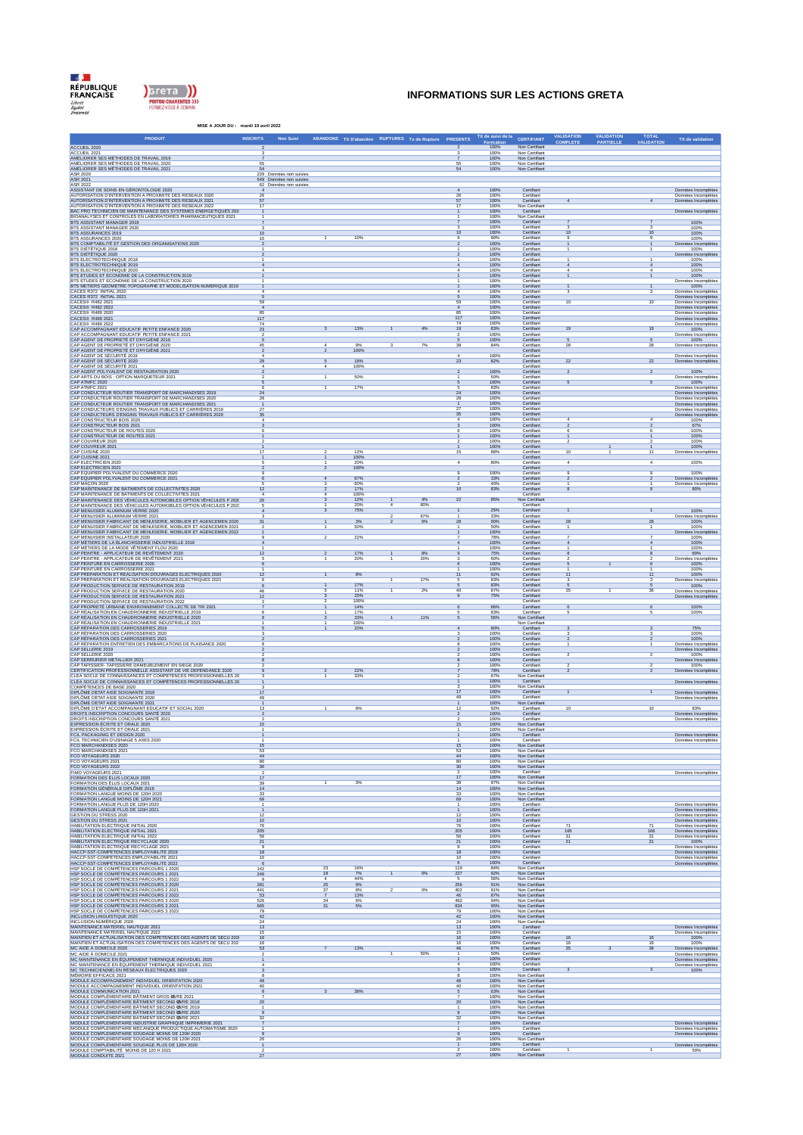



## **INFORMATIONS SUR LES ACTIONS GRETA**

| MISE A JOUR DU : mardi 19 avril 2022                                                                                                                                                                                                                         |                                                   |                      |                                                       |                         |           |                         |                   |                                                | <b>VALIDATION</b>       | <b>VALIDATION</b> |                     |                                                                   |
|--------------------------------------------------------------------------------------------------------------------------------------------------------------------------------------------------------------------------------------------------------------|---------------------------------------------------|----------------------|-------------------------------------------------------|-------------------------|-----------|-------------------------|-------------------|------------------------------------------------|-------------------------|-------------------|---------------------|-------------------------------------------------------------------|
| <b>PRODUIT</b><br><b>INSCRITS</b>                                                                                                                                                                                                                            | Non Suivi                                         |                      | ABANDONS TX D'abandon RUPTURES Tx de Rupture PRESENTS |                         |           |                         | TX de suivi de la | CERTIFIANT<br>Non Certifiant                   | COMPLETE                | <b>PARTIELLE</b>  | TOTAL<br>VALIDATION | TX de validation                                                  |
| ACCUEIL 2020<br>ACCUEIL 2021<br>AMÉLIORER SES MÉTHODES DE TRAVAIL 2019                                                                                                                                                                                       |                                                   |                      |                                                       |                         |           |                         | 100%              | Non Certifiant                                 |                         |                   |                     |                                                                   |
| AMÊLIORER SES MÊTHODES DE TRAVAIL 2020<br>AMÊLIORER SES MÊTHODES DE TRAVAIL 2021                                                                                                                                                                             | $\frac{55}{54}$                                   |                      |                                                       |                         |           | 55                      | 100%<br>100%      | Non Certifiant<br>Non Certifiant               |                         |                   |                     |                                                                   |
| ASR 2020                                                                                                                                                                                                                                                     | 229 Données non suivies                           |                      |                                                       |                         |           | 54                      | 100%              | Non Certifiant                                 |                         |                   |                     |                                                                   |
| ASR 2021<br>ASR 2022                                                                                                                                                                                                                                         | 549 Données non suivies<br>62 Données non suivies |                      |                                                       |                         |           |                         |                   |                                                |                         |                   |                     |                                                                   |
| .<br>ASSISTANT DE SOINS EN GÉRONTOLOGIE 2020<br>AUTORISATION D'INTERVENTION À PROXIMITÉ DES RÉSEAUX 2020<br>AUTORISATION D'INTERVENTION À PROXIMITÉ DES RÉSEAUX 2021<br>26                                                                                   |                                                   |                      |                                                       |                         |           | $\mathbf{A}$            | 100%<br>100%      | Certifiant<br>Certifian                        |                         |                   |                     | Données Incomplètes<br>Données Incomplètes<br>Données Incomplètes |
|                                                                                                                                                                                                                                                              | 57<br>17                                          |                      |                                                       |                         |           | $rac{26}{57}$<br>17     | 100%<br>100%      | Certifiant<br>Non Certifian                    |                         |                   |                     |                                                                   |
| NUTORISATION D'INTERVENTION À PROXIMITÉ DES RÉSEAUX 2022<br>BAC PRO TECHNICIEN DE MAINTENANCE DES SYSTÈMES ÉNERGÉTIQUES 202<br>BIOANALYSES ET CONTRÔLES EN LABORATOIRES PHARMACEUTIQUES 2021                                                                 | $\mathbf{1}$                                      |                      |                                                       |                         |           |                         | 100%<br>100%      | Certifiant<br>Non Certifian                    |                         |                   |                     | Données Incomplètes                                               |
|                                                                                                                                                                                                                                                              |                                                   |                      |                                                       |                         |           |                         | 100%<br>100%      | Certifiant<br>Certifian                        |                         |                   |                     | 100%<br>100%                                                      |
| BTS ASSISTANT MANAGER 2019<br>BTS ASSISTANT MANAGER 2020<br>BTS ASSURANCES 2019                                                                                                                                                                              | 10                                                |                      |                                                       |                         |           |                         | 100%              | Certifian                                      | 10                      |                   |                     | 100%                                                              |
| BTS ASSURANCES 2020<br>BTS COMPTABILITÉ ET GESTION DES ORGANISATIONS 2020                                                                                                                                                                                    | 10                                                | $\mathbf{1}$         | 10%                                                   |                         |           |                         | 90%<br>100%       | Certifian<br>Certifiant                        | s                       |                   |                     | 100%<br>Données Incomp                                            |
| <b>BIS COMPTABLILE ET LESTION DES ORIGNMENTIONS 2018<br/>ETS DIÉTÉTIQUE 2020<br/>ETS ELECTROTECHNIQUE 2018<br/>ETS ELECTROTECHNIQUE 2019<br/>ETS ELECTROTECHNIQUE 2020<br/>ETS ETUDES ET ECONOMIE DE LA CONSTRUCTION 2019<br/>ETS ETUDES ET ECONOMIE DE </b> |                                                   |                      |                                                       |                         |           |                         | 100%<br>100%      | Certifiant<br>Certifiant                       |                         |                   |                     | 100%<br>Données Incomplètes                                       |
|                                                                                                                                                                                                                                                              |                                                   |                      |                                                       |                         |           |                         | 100%<br>100%      | Certifian<br>Certifian                         |                         |                   |                     | 100%<br>100%                                                      |
|                                                                                                                                                                                                                                                              |                                                   |                      |                                                       |                         |           |                         | 100%<br>100%      | Certifiant<br>Certifiant                       | 4                       |                   |                     | 100%                                                              |
|                                                                                                                                                                                                                                                              |                                                   |                      |                                                       |                         |           |                         | 100%              | Certifian                                      |                         |                   |                     | 100%<br>Données Incomplètes                                       |
| BTS ETUDES ET ECONOMIE DE LA CONSTRUCTION 2020<br>BTS MÉTIERS GÉOMÉTRE-TOPOGRAPHE ET MODÉLISATION NUMÉRIQUE 2019<br>CACES R372 INITIAL 2020                                                                                                                  |                                                   |                      |                                                       |                         |           |                         | 100%<br>100%      | Certifiant<br>Certifian                        | $\overline{1}$<br>3     |                   | $\mathbf{1}$<br>3   | 100%<br>Données Incomplètes                                       |
| CACES R372 INITIAL 2021<br>CACES® R482 2021<br>59                                                                                                                                                                                                            |                                                   |                      |                                                       |                         |           | 59                      | 100%<br>100%      | Certifiant<br>Certifian                        | 10                      |                   | 10                  | Données Incomplètes<br>Données Incomplètes                        |
| CACES® R482 2022                                                                                                                                                                                                                                             |                                                   |                      |                                                       |                         |           | 85                      | 100%<br>100%      | Certifian<br>Certifian                         |                         |                   |                     | Données Incomplètes<br>Données Incomplètes                        |
| CACES® R489 2020<br>CACES® R489 2021<br>$\frac{85}{117}$<br>74                                                                                                                                                                                               |                                                   |                      |                                                       |                         |           | 117<br>74               | 100%<br>100%      | Certifiant<br>Certifian                        |                         |                   |                     | Données Incomplètes                                               |
| CACES® R489 2022<br>CACES® R489 2022<br>CAP ACCOMPAGNANT EDUCATIF PETITE ENFANCE 2020<br>CAP ACCOMPAGNANT EDUCATIF PETITE ENFANCE 2021<br>23                                                                                                                 |                                                   | $\mathcal{R}$        | 13%                                                   | $\overline{1}$          | 4%        | 19                      | 83%               | Certifiant                                     | 19                      |                   | 19                  | Données Incomplètes<br>100%                                       |
|                                                                                                                                                                                                                                                              |                                                   |                      |                                                       |                         |           |                         | 100%<br>100%      | Certifiant<br>Certifian                        | 5                       |                   | 5                   | Données Incomplètes<br>100%                                       |
| SON AGENT DE PROPRETÉ ET DHYGIÈNE 2019<br>CAP AGENT DE PROPRETÉ ET DHYGIÈNE 2020<br>CAP AGENT DE PROPRETÉ ET DHYGIÈNE 2021<br>45                                                                                                                             | $\overline{2}$                                    | 4                    | 9%<br>100%                                            | $\overline{\mathbf{3}}$ | 7%        | 38                      | 84%               | Certifian<br>Certifiant                        | 28                      |                   | 28                  | Données Incomplètes                                               |
| CAP AGENT DE SÉCURITÉ 2019<br>CAP AGENT DE SÉCURITÉ 2020<br>CAP AGENT DE SÉCURITÉ 2020                                                                                                                                                                       | 28                                                | 5                    | 18%                                                   |                         |           | $\mathbf{4}$<br>23      | 100%<br>82%       | Certifian<br>Certifiant                        | $22\,$                  |                   | 22                  | Données Incomplètes<br>Données Incomplètes                        |
|                                                                                                                                                                                                                                                              |                                                   |                      | 100%                                                  |                         |           | $\overline{2}$          | 100%              | Certifiant<br>Certifian                        | $\overline{2}$          |                   | $\overline{2}$      |                                                                   |
| CAP AGENT POLYVALENT DE RESTAURATION 2020<br>CAP ARTS DU BOIS : OPTION MARQUETEUR 2021                                                                                                                                                                       |                                                   | $\overline{1}$       | 50%                                                   |                         |           |                         | 50%               | Certifian                                      |                         |                   |                     | 100%<br>Données Incomplètes                                       |
| CAP ATMFC 2020<br>CAP ATMFC 2021<br>CAP CONDUCTEUR ROUTIER TRANSPORT DE MARCHANDISES 2019                                                                                                                                                                    |                                                   | $\mathbf{1}$         | 17%                                                   |                         |           |                         | 100%<br>83%       | Certifiant<br>Certifian                        | 5                       |                   |                     | 100%<br>Données Incomplètes                                       |
| CAP CONDUCTEUR ROUTIER TRANSPORT DE MARCHANDISES 2020<br>CAP CONDUCTEUR ROUTIER TRANSPORT DE MARCHANDISES 2021<br>28                                                                                                                                         | 24                                                |                      |                                                       |                         |           | 24<br>28                | 100%<br>100%      | Certifiant<br>Certifian                        |                         |                   |                     | Données Incomplètes<br>Données Incomplètes                        |
| 27                                                                                                                                                                                                                                                           |                                                   |                      |                                                       |                         |           | 27                      | 100%<br>100%      | Certifiant<br>Certifian                        |                         |                   |                     | Données Incomplète<br>Données Incomplètes                         |
| CAP CONDUCTEUR ROUTIER TRAVASPORT DE MARCHANDISES 2021<br>CAP CONDUCTEURS D'ENGINS TRAVAUX PUBLICS ET CARRIÈRES 2019<br>CAP CONDUCTEURS D'ENGINS TRAVAUX PUBLICS ET CARRIÈRES 2020<br>CAP CONSTRUCTEUR BOIS 2021<br>CAP CONSTRUCTEUR BOIS                    |                                                   |                      |                                                       |                         |           | 35                      | 100%              | Certifiant                                     | 4                       |                   |                     | Données Incomplète<br>100%                                        |
|                                                                                                                                                                                                                                                              |                                                   |                      |                                                       |                         |           |                         | 100%<br>100%      | Certifiant<br>Certifiant                       |                         |                   |                     |                                                                   |
|                                                                                                                                                                                                                                                              |                                                   |                      |                                                       |                         |           |                         | 100%              | Certifian<br>Certifiant                        |                         |                   |                     | 100%<br>100%                                                      |
| SAP CONSTRUCTEUR DE ROUTES 2020<br>CAP CONSTRUCTEUR DE ROUTES 2021<br>CAP COUVREUR 2021<br>CAP COUVREUR 2021<br>CAP CUISINE 2020                                                                                                                             |                                                   |                      |                                                       |                         |           |                         | 100%<br>100%      | Certifian<br>Certifian                         |                         |                   |                     | 100%<br>100%                                                      |
|                                                                                                                                                                                                                                                              | 17                                                |                      | 12%<br>100%                                           |                         |           | 15                      | 88%               | Certifiant<br>Certifiant                       | 10                      |                   | 11                  | Données Incomplètes                                               |
| CAP CUISINE 2021<br>CAP ELECTRICIEN 2020<br>CAP ELECTRICIEN 2021                                                                                                                                                                                             |                                                   |                      | 20%<br>100%                                           |                         |           | $\overline{4}$          | 80%               | Certifian<br>Certifiant                        | $\overline{4}$          |                   | $\overline{4}$      | 100%                                                              |
|                                                                                                                                                                                                                                                              |                                                   |                      |                                                       |                         |           | $\mathbf{q}$            | 100%              | Certifian                                      | 9                       |                   |                     | 100%                                                              |
|                                                                                                                                                                                                                                                              |                                                   |                      | 67%<br>60%                                            |                         |           |                         | 33%<br>40%        | Certifiant<br>Certifian                        | $\overline{2}$          |                   |                     | Données Incomplètes<br>Données Incomplètes                        |
| GAP ELECTRICING 2021<br>CAP BOURIER POLYVALENT DU COMMERCE 2020<br>CAP BOURIER POLYVALENT DU COMMERCE 2021<br>CAP MAINTENANCE DE BÂTMIENTS DE COLLECTIVITÉS 2020<br>CAP MAINTENANCE DES VÉHICILES AUTOMOBILES OPTION VÉHICULES P 2021<br>CAP                 |                                                   |                      | 17%<br>100%                                           |                         |           | 10                      | 83%               | Certifiant<br>Certifiant                       |                         |                   |                     | 80%                                                               |
|                                                                                                                                                                                                                                                              |                                                   |                      | 12%                                                   | $\boldsymbol{4}$        | 4%<br>80% | 22                      | 85%               | Non Certifiar<br>Certifiant                    |                         |                   |                     |                                                                   |
| CAP MAINTENANCE DES VÉHICULES AUTOMOBILES OPTION VÉHICULES P 202:<br>CAP MENUISIER ALUMINIUM VERRE 2020<br>CAP MENUISIER ALUMINIUM VERRE 2021                                                                                                                |                                                   |                      | 20%<br>75%                                            |                         | 67%       |                         | 25%<br>33%        | Certifiant<br>Certifian                        | $\mathbf{1}$            |                   |                     | 100%<br>Données Incomplètes                                       |
| .<br>CAP MENUISIER FABRICANT DE MENUISERIE. MOBILIER ET AGENCEMEN 2020<br>CAP MENUISIER FABRICANT DE MENUISERIE, MOBILIER ET AGENCEMEN 2021                                                                                                                  |                                                   |                      | 3%                                                    |                         | 6%        | 28                      | 90%               | Certifian                                      | 28                      |                   | 28                  | 100%                                                              |
| CAP MENUISIER FABRICANT DE MENUISERIE, MOBILIER ET AGENCEMEN 2022<br>CAP MENUISIER INSTALLATEUR 2020                                                                                                                                                         |                                                   |                      | 50%                                                   |                         |           |                         | 50%<br>100%       | Certifian<br>Certifian                         | -1                      |                   |                     | 100%<br>Données Incomplètes                                       |
|                                                                                                                                                                                                                                                              |                                                   | $\overline{2}$       | 22%                                                   |                         |           |                         | 78%<br>100%       | Certifiant<br>Certifian                        |                         |                   |                     | 100%<br>100%                                                      |
| CAP MENOISIEK INSTALLATEUR <i>DUD</i><br>CAP MÉTIERS DE LA MODE VÉTEMENT FLOU 2020<br>CAP MÉTIERS DE LA MODE VÉTEMENT FLOU 2020<br>CAP PEINTRE - APPLICATEUR DE REVÉTEMENT 2020<br>CAP PEINTRE - APPLICATEUR DE REVÉTEMENT 2021                              | 12                                                | $\overline{2}$       | 17%                                                   |                         | 8%        |                         | 100%<br>75%       | Certifian<br>Certifiant                        |                         |                   |                     | 100%<br>89%                                                       |
|                                                                                                                                                                                                                                                              |                                                   |                      | 20%                                                   |                         | 20%       |                         | 60%               | Certifian<br>Certifiant                        |                         |                   |                     | Données Incomplètes<br>100%                                       |
| CAP PEINTURE EN CARROSSERIE 2020<br>CAP PEINTURE EN CARROSSERIE 2021<br>CAP PRÉPARATION ET RÉALISATION DOUVRAGES ÉLECTRIQUES 2020                                                                                                                            |                                                   |                      |                                                       |                         |           |                         | 100%<br>100%      | Certifian                                      |                         |                   |                     | 100%                                                              |
| CAP PRÉPARATION ET RÉALISATION DOUVRAGES ÉLECTRIQUES 2021<br>CAP PRODUCTION SERVICE DE RESTAURATION 2019                                                                                                                                                     |                                                   |                      | 8%                                                    | $\overline{1}$          | 17%       |                         | 92%<br>83%        | Certifian<br>Certifian                         | s                       |                   |                     | 100%<br>Données Incomplètes<br>100%                               |
| CAP PRODUCTION SERVICE DE RESTAURATION 2020                                                                                                                                                                                                                  | 46                                                |                      | 17%<br>11%                                            |                         | 2%        | 40                      | 83%<br>87%        | Certifiant<br>Certifian                        | 35                      |                   |                     | Données Incomplètes                                               |
| CAP PRODUCTION SERVICE DE RESTAURATION 2021<br>CAP PRODUCTION SERVICE DE RESTAURATION 2022                                                                                                                                                                   |                                                   |                      | 25%<br>100%                                           |                         |           |                         | 75%               | Certifian<br>Certifiant                        |                         |                   |                     | Données Incomplète                                                |
| CAP PROPRETÉ URBAINE ENVIRONNEMENT COLLECTE DE TRI 2021<br>CAP RÉALISATION EN CHAUDRONNERIE INDUSTRIELLE 2019<br>CAP RÉALISATION EN CHAUDRONNERIE INDUSTRIELLE 2020                                                                                          |                                                   |                      | 14%<br>17%                                            |                         |           |                         | 86%<br>83%        | Certifian<br>Certifian                         | 6<br>5                  |                   |                     | 100%<br>100%                                                      |
|                                                                                                                                                                                                                                                              |                                                   |                      | 33%<br>100%                                           |                         | 11%       |                         | 56%               | Non Certifian<br>Non Certifian                 |                         |                   |                     |                                                                   |
| CAP RÉALISATION EN CHAUDRONNERIE INDUSTRIELLE 2021<br>CAP RÉPARATION DES CARROSSERIES 2019<br>CAP RÉPARATION DES CARROSSERIES 2020                                                                                                                           |                                                   |                      | 20%                                                   |                         |           |                         | 80%               | Certifiant                                     | $\overline{\mathbf{3}}$ |                   |                     | 75%<br>100%                                                       |
|                                                                                                                                                                                                                                                              |                                                   |                      |                                                       |                         |           |                         | 100%<br>100%      | Certifian<br>Certifiant                        |                         |                   |                     | 100%                                                              |
| CAP RÉPARATION DES CARROSSERIES 2021<br>CAP RÉPARATION ENTRETIEN DES EMBARCATIONS DE PLAISANCE 2020<br>CAP SELLERIE 2019                                                                                                                                     |                                                   |                      |                                                       |                         |           |                         | 100%<br>100%      | Certifian<br>Certifiant                        |                         |                   |                     | Données Incomplètes<br>Données Incomplètes                        |
|                                                                                                                                                                                                                                                              |                                                   |                      |                                                       |                         |           |                         | 100%<br>100%      | Certifian<br>Certifiant                        | $\overline{\mathbf{z}}$ |                   | $\overline{2}$      | 100%<br>Données Incomplètes                                       |
| .<br>CAP TAPISSIER- TAPISSIËRE DAMEUBLEMENT EN SIËGE 2020<br>CERTIFICATION PROFESSIONNELLE ASSISTANT DE VIE DÉPENDANCE 2020                                                                                                                                  |                                                   | $\overline{2}$       | 22%                                                   |                         |           |                         | 100%<br>78%       | Certifiant<br>Certifiant                       |                         |                   |                     | 100%<br>Données Incomplètes                                       |
| CLÉA SOCLE DE CONNAISSANCES ET COMPÉTENCES PROFESSIONNELLES 20                                                                                                                                                                                               |                                                   |                      | 33%                                                   |                         |           |                         | 67%<br>100%       | Non Certifiant<br>Certifiant                   |                         |                   |                     |                                                                   |
| CLÉA SOCLE DE CONNAISSANCES ET COMPÉTENCES PROFESSIONNELLES 20<br>COMPÉTENCES DE BASE 2020<br>DIPLÔME DETAT AIDE SOIGNANTE 2019                                                                                                                              |                                                   |                      |                                                       |                         |           |                         | 100%<br>100%      | Non Certifiant                                 |                         |                   |                     | Données Incomplètes                                               |
|                                                                                                                                                                                                                                                              | 17<br>49                                          |                      |                                                       |                         |           | 49                      | 100%              | Certifiant<br>Certifiant                       |                         |                   |                     | Données Incomplètes<br>Données Incomplètes                        |
| DIPLÔME DETAT AIDE SOIGNANTE 2020<br>DIPLÔME DETAT AIDE SOIGNANTE 2021<br>DIPLÔME D'ETAT ACCOMPAGNANT EDUCATIF ET SOCIAL 2020                                                                                                                                | 13                                                |                      | 8%                                                    |                         |           | 12                      | 100%<br>92%       | Non Certifiant<br>Certifian                    | 10                      |                   | 10                  | 83%                                                               |
| DROITS INSCRIPTION CONCOURS SANTÉ 2020<br>DROITS INSCRIPTION CONCOURS SANTÉ 2021                                                                                                                                                                             |                                                   |                      |                                                       |                         |           |                         | 100%<br>100%      | Certifiant<br>Certifiant                       |                         |                   |                     | Données Incomplètes<br>Données Incomplètes                        |
| EXPRESSION ÉCRITE ET ORALE 2020                                                                                                                                                                                                                              |                                                   |                      |                                                       |                         |           |                         | 100%              | Non Certifian                                  |                         |                   |                     |                                                                   |
| FCIL PACKAGINIG ET DESIGN 2020                                                                                                                                                                                                                               |                                                   |                      |                                                       |                         |           |                         | 100%              | Certifiant                                     |                         |                   |                     | Données Incomplètes                                               |
| FCIL TECHNICIEN D'USINAGE 5 AXES 2020<br>FCO MARCHANDISES 2020                                                                                                                                                                                               | 15                                                |                      |                                                       |                         |           | 15                      | 100%<br>100%      | Certifiant<br>Non Certifiant                   |                         |                   |                     | Données Incomplètes                                               |
| FCO MARCHANDISES 2021<br>FCO VOYAGEURS 2020                                                                                                                                                                                                                  | $\frac{53}{44}$                                   |                      |                                                       |                         |           | $\frac{53}{44}$         | 100%<br>100%      | Non Certifiant<br>Non Certifiant               |                         |                   |                     |                                                                   |
| FCO VOYAGEURS 2021<br>FCO VOYAGEURS 2022                                                                                                                                                                                                                     | 80<br>30                                          |                      |                                                       |                         |           | 80<br>30                | 100%<br>100%      | Non Certifiant<br>Non Certifiant               |                         |                   |                     |                                                                   |
| FIMO VOYAGEURS 2021<br>FORMATION DES ÉLUS LOCAUX 2020                                                                                                                                                                                                        | 17                                                |                      |                                                       |                         |           | $\overline{17}$         | 100%<br>100%      | Certifiant<br>Non Certifiant                   |                         |                   |                     | Données Incomplètes                                               |
| FORMATION DES ÉLUS LOCAUX 2021                                                                                                                                                                                                                               | 39<br>14                                          |                      | 3%                                                    |                         |           | 38<br>14                | 97%<br>100%       | Non Certifiant<br>Non Certifiant               |                         |                   |                     |                                                                   |
| FORMATION GÉNÉRALE DIPLÔME 2019<br>FORMATION LANGUE MOINS DE 120H 2020<br>FORMATION LANGUE MOINS DE 120H 2021                                                                                                                                                | 33                                                |                      |                                                       |                         |           | 33                      | 100%              | Non Certifiant                                 |                         |                   |                     |                                                                   |
| FORMATION LANGUE PLUS DE 120H 2020<br>FORMATION LANGUE PLUS DE 120H 2021                                                                                                                                                                                     | 69                                                |                      |                                                       |                         |           | 69                      | 100%<br>100%      | Non Certifiant<br>Certifiant                   |                         |                   |                     | Données Incomplètes                                               |
| GESTION DU STRESS 2020                                                                                                                                                                                                                                       |                                                   |                      |                                                       |                         |           | 12                      | 100%<br>100%      | Certifiant<br>Certifian                        |                         |                   |                     | Données Incomplètes<br>Données Incomplètes                        |
| GESTION DU STRESS 2021<br>HABILITATION ELECTRIQUE INITIAL 2020                                                                                                                                                                                               | $\frac{12}{10}$<br>76                             |                      |                                                       |                         |           | 10                      | 100%<br>100%      | Certifiant<br>Certifian                        | $\overline{7}$          |                   | $\overline{71}$     | Données Incomplètes<br>Données Incomplètes                        |
| HABILITATION ELECTRIQUE INITIAL 2021<br>205<br>56                                                                                                                                                                                                            |                                                   |                      |                                                       |                         |           | 205                     | 100%<br>100%      | Certifiant<br>Certifiant                       | 166                     |                   | 166                 | Données Incomplètes<br>Données Incomplètes                        |
| HABILITATION ELECTRIQUE INITIAL 2022<br>HABILITATION ELECTRIQUE RECYCLAGE 2020<br>HABILITATION ELECTRIQUE RECYCLAGE 2021                                                                                                                                     |                                                   |                      |                                                       |                         |           | $rac{56}{21}$           | 100%              | Certifian<br>Certifiant                        | $\frac{31}{21}$         |                   | $\frac{31}{21}$     | 100%                                                              |
| HAGCP-SST-COMPETENCES EMPLOYABILITE 2019<br>HACCP-SST-COMPETENCES EMPLOYABILITE 2019                                                                                                                                                                         | 18                                                |                      |                                                       |                         |           | $\overline{18}$         | 100%<br>100%      | Certifiant                                     |                         |                   |                     | Données Incomplètes<br>Données Incomplètes                        |
| HACCP-SST-COMPETENCES EMPLOYABILITE 2022                                                                                                                                                                                                                     | 10                                                |                      |                                                       |                         |           | 10<br>6                 | 100%<br>100%      | Certifiant<br>Certifiant                       |                         |                   |                     | Données Incomplètes<br>Données Incomplètes                        |
| HSP SOCLE DE COMPÉTENCES PARCOURS 1 2020<br>142<br>HSP SOCLE DE COMPÉTENCES PARCOURS 1 2021<br>246                                                                                                                                                           |                                                   | 23<br>18             | 16%<br>7%                                             |                         | 0%        | 119<br>227              | 84%<br>92%        | Non Certifiant<br>Non Certifiant               |                         |                   |                     |                                                                   |
| HSP SOCLE DE COMPÉTENCES PARCOURS 1 2022<br>HSP SOCLE DE COMPÉTENCES PARCOURS 2 2020<br>281                                                                                                                                                                  |                                                   | $\overline{a}$<br>25 | 44%<br>9%                                             |                         |           | 256                     | 56%<br>91%        | Non Certifiant<br>Non Certifiant               |                         |                   |                     |                                                                   |
| HSP SOCLE DE COMPÉTENCES PARCOURS 2 2021<br>HSP SOCLE DE COMPÉTENCES PARCOURS 2 2022<br>441<br>53                                                                                                                                                            |                                                   | 37                   | R <sup>o</sup><br>13%                                 | $\overline{2}$          | 0%        | 402<br>46               | 91%<br>87%        | Non Certifiant<br>Non Certifiant               |                         |                   |                     |                                                                   |
| HSP SOCLE DE COMPÉTENCES PARCOURS 3 2020<br>526<br>665                                                                                                                                                                                                       |                                                   | 31                   | 6%<br>5%                                              |                         |           | 492<br>634              | 94%<br>95%        | Non Certifiant<br>Non Certifiant               |                         |                   |                     |                                                                   |
| HSP SOCLE DE COMPÉTENCES PARCOURS 3 2021<br>HSP SOCLE DE COMPÉTENCES PARCOURS 3 2022<br>79                                                                                                                                                                   |                                                   |                      |                                                       |                         |           | 79                      | 100%              | Non Certifiant                                 |                         |                   |                     |                                                                   |
| <b>INCLUSION LINGUISTIQUE 2020</b><br>INCLUSION NUMÉRIQUE 2020<br>MAINTENANCE MATÉRIEL NAUTIQUE 2021                                                                                                                                                         | 42<br>$\frac{24}{13}$                             |                      |                                                       |                         |           | 42<br>$\frac{24}{13}$   | 100%<br>100%      | Non Certifiant<br>Non Certifiant<br>Certifiant |                         |                   |                     |                                                                   |
| MAINTENANCE MATÉRIEL NAUTIQUE 2022                                                                                                                                                                                                                           | 15                                                |                      |                                                       |                         |           |                         | 100%<br>100%      | Certifiant                                     |                         |                   |                     | Données Incomplètes<br>Données Incomplètes                        |
| .<br>MAINTIEN ET ACTUALISATION DES COMPÉTENCES DES AGENTS DE SÉCU 202<br>MAINTIEN ET ACTUALISATION DES COMPÉTENCES DES AGENTS DE SÉCU 202                                                                                                                    | 16<br>16                                          |                      |                                                       |                         |           | 16<br>16                | 100%<br>100%      | Certifiant<br>Certifiant                       | 16<br>16                |                   | 16<br>16            | 100%<br>100%                                                      |
| MC AIDE À DOMICILE 2020<br>MC AIDE À DOMICILE 2021                                                                                                                                                                                                           | 53                                                |                      | 13%                                                   | л.                      | 50%       | 46                      | 87%<br>50%        | Certifiant<br>Certifiant                       | $\overline{35}$         |                   |                     | Données Incomplètes<br>Données Incomplètes                        |
| MC MAINTENANCE EN ÉQUIPEMENT THERMIQUE INDIVIDUEL 2020                                                                                                                                                                                                       |                                                   |                      |                                                       |                         |           |                         | 100%<br>100%      | Certifiant<br>Certifian                        |                         |                   |                     | Données Incomplètes                                               |
| MC MAINTENANCE EN ÉQUIPEMENT THERMIQUE INDIVIDUEL 2021<br>MC TECHNICIEN(NE) EN RÉSEAUX ÉLECTRIQUES 2020                                                                                                                                                      |                                                   |                      |                                                       |                         |           | $\overline{\mathbf{3}}$ | 100%              | Certifiant                                     |                         |                   |                     | Données Incomplètes<br>100%                                       |
| MÊMOIRE EFFICACE 2021<br>MODULE ACCOMPAGNEMENT INDIVIDUEL ORIENTATION 2020                                                                                                                                                                                   | 8                                                 |                      |                                                       |                         |           | 48                      | 100%<br>100%      | Non Certifian<br>Non Certifiant                |                         |                   |                     |                                                                   |
| MODULE ACCOMPAGNEMENT INDIVIDUEL ORIENTATION 2021<br>MODULE COMMUNICATION 2021                                                                                                                                                                               | 40                                                |                      | 38%                                                   |                         |           | 40                      | 100%<br>63%       | Non Certifiant<br>Non Certifiant               |                         |                   |                     |                                                                   |
| MODULE COMPLÉMENTAIRE BĂTIMENT GROS <b>Œ</b> VRE 2021<br>MODULE COMPLÉMENTAIRE BĂTIMENT SECOND <b>Œ</b> VRE 2018                                                                                                                                             | 20                                                |                      |                                                       |                         |           | 20                      | 100%<br>100%      | Non Certifiant<br>Non Certifiant               |                         |                   |                     |                                                                   |
| MODULE COMPLÊMENTAIRE BĂTIMENT SECOND Œ/RE 2019<br>MODULE COMPLÊMENTAIRE BÂTIMENT SECOND OB/RE 2020                                                                                                                                                          |                                                   |                      |                                                       |                         |           |                         | 100%<br>100%      | Non Certifiant<br>Non Certifiant               |                         |                   |                     |                                                                   |
| MODULE COMPLÉMENTAIRE BATIMENT SECOND CE/RE 2021<br>32                                                                                                                                                                                                       |                                                   |                      |                                                       |                         |           | 32                      | 100%              | Non Certifiant                                 |                         |                   |                     |                                                                   |
| MODULE COMPLÉMENTAIRE INDUSTRIE GRAPHIQUE IMPRIMERIE 2021<br>MODULE COMPLÉMENTAIRE MÉCANIQUE PRODUCTIQUE AUTOMATISME 2020                                                                                                                                    |                                                   |                      |                                                       |                         |           |                         | 100%<br>100%      | Certifiant<br>Certifiant                       |                         |                   |                     | Données Incomplètes<br>Données Incomplètes                        |
| MODULE COMPLÊMENTAIRE SOUDAGE MOINS DE 120H 2020<br>MODULE COMPLÉMENTAIRE SOUDAGE MOINS DE 120H 2021<br>26                                                                                                                                                   | 9                                                 |                      |                                                       |                         |           | 26                      | 100%<br>100%      | Certifiant<br>Non Certifiant                   |                         |                   |                     | Données Incomplètes                                               |
| MODULE COMPLÊMENTAIRE SOUDAGE PLUS DE 120H 2020<br>MODULE COMPTABILITÉ MOINS DE 120 H 2021                                                                                                                                                                   | $\mathbf{1}$                                      |                      |                                                       |                         |           | $\mathbf{1}$            | 100%<br>100%      | Certifiant<br>Certifiant                       |                         |                   |                     | Données Incomplètes<br>50%                                        |
| MODULE CONDUITE 2021                                                                                                                                                                                                                                         |                                                   |                      |                                                       |                         |           | 27                      | 100%              | Non Certifiant                                 |                         |                   |                     |                                                                   |